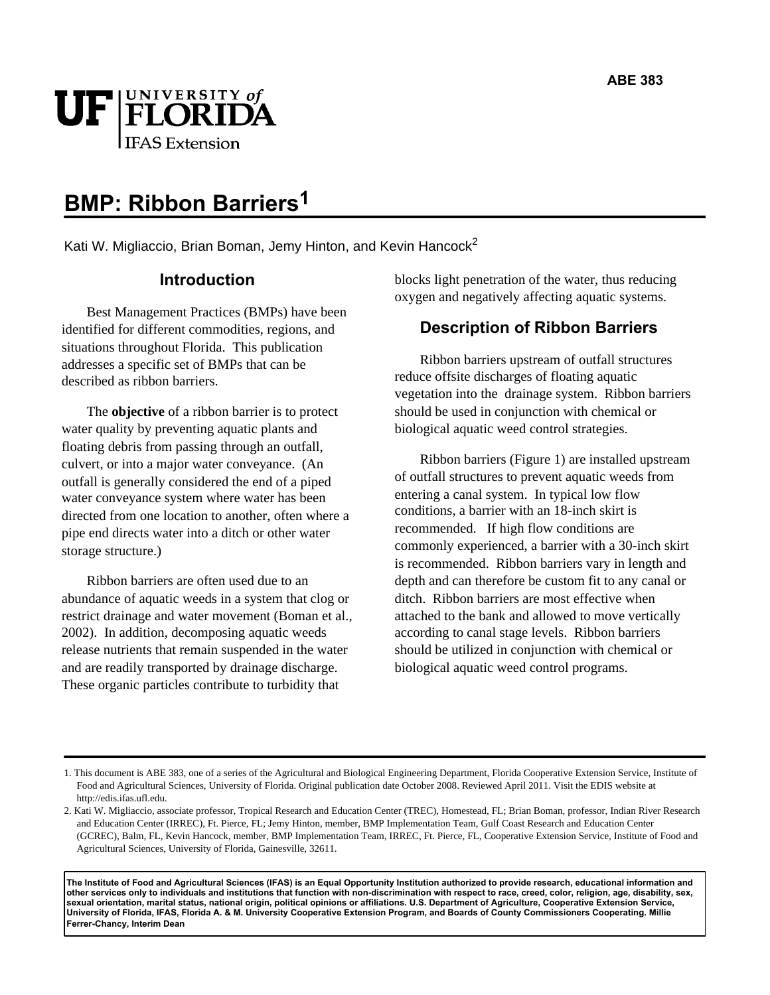

# **BMP: Ribbon Barriers1**

Kati W. Migliaccio, Brian Boman, Jemy Hinton, and Kevin Hancock<sup>2</sup>

## **Introduction**

Best Management Practices (BMPs) have been identified for different commodities, regions, and situations throughout Florida. This publication addresses a specific set of BMPs that can be described as ribbon barriers.

The **objective** of a ribbon barrier is to protect water quality by preventing aquatic plants and floating debris from passing through an outfall, culvert, or into a major water conveyance. (An outfall is generally considered the end of a piped water conveyance system where water has been directed from one location to another, often where a pipe end directs water into a ditch or other water storage structure.)

Ribbon barriers are often used due to an abundance of aquatic weeds in a system that clog or restrict drainage and water movement (Boman et al., 2002). In addition, decomposing aquatic weeds release nutrients that remain suspended in the water and are readily transported by drainage discharge. These organic particles contribute to turbidity that

blocks light penetration of the water, thus reducing oxygen and negatively affecting aquatic systems.

# **Description of Ribbon Barriers**

Ribbon barriers upstream of outfall structures reduce offsite discharges of floating aquatic vegetation into the drainage system. Ribbon barriers should be used in conjunction with chemical or biological aquatic weed control strategies.

Ribbon barriers (Figure 1) are installed upstream of outfall structures to prevent aquatic weeds from entering a canal system. In typical low flow conditions, a barrier with an 18-inch skirt is recommended. If high flow conditions are commonly experienced, a barrier with a 30-inch skirt is recommended. Ribbon barriers vary in length and depth and can therefore be custom fit to any canal or ditch. Ribbon barriers are most effective when attached to the bank and allowed to move vertically according to canal stage levels. Ribbon barriers should be utilized in conjunction with chemical or biological aquatic weed control programs.

**The Institute of Food and Agricultural Sciences (IFAS) is an Equal Opportunity Institution authorized to provide research, educational information and other services only to individuals and institutions that function with non-discrimination with respect to race, creed, color, religion, age, disability, sex, sexual orientation, marital status, national origin, political opinions or affiliations. U.S. Department of Agriculture, Cooperative Extension Service, University of Florida, IFAS, Florida A. & M. University Cooperative Extension Program, and Boards of County Commissioners Cooperating. Millie Ferrer-Chancy, Interim Dean** 

<sup>1.</sup> This document is ABE 383, one of a series of the Agricultural and Biological Engineering Department, Florida Cooperative Extension Service, Institute of Food and Agricultural Sciences, University of Florida. Original publication date October 2008. Reviewed April 2011. Visit the EDIS website at http://edis.ifas.ufl.edu.

<sup>2.</sup> Kati W. Migliaccio, associate professor, Tropical Research and Education Center (TREC), Homestead, FL; Brian Boman, professor, Indian River Research and Education Center (IRREC), Ft. Pierce, FL; Jemy Hinton, member, BMP Implementation Team, Gulf Coast Research and Education Center (GCREC), Balm, FL, Kevin Hancock, member, BMP Implementation Team, IRREC, Ft. Pierce, FL, Cooperative Extension Service, Institute of Food and Agricultural Sciences, University of Florida, Gainesville, 32611.